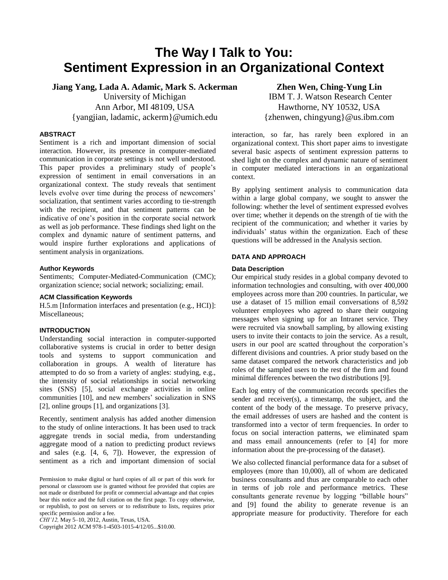# **The Way I Talk to You: Sentiment Expression in an Organizational Context**

**Jiang Yang, Lada A. Adamic, Mark S. Ackerman** University of Michigan Ann Arbor, MI 48109, USA {yangjian, ladamic, ackerm}@umich.edu

# **ABSTRACT**

Sentiment is a rich and important dimension of social interaction. However, its presence in computer-mediated communication in corporate settings is not well understood. This paper provides a preliminary study of people's expression of sentiment in email conversations in an organizational context. The study reveals that sentiment levels evolve over time during the process of newcomers' socialization, that sentiment varies according to tie-strength with the recipient, and that sentiment patterns can be indicative of one's position in the corporate social network as well as job performance. These findings shed light on the complex and dynamic nature of sentiment patterns, and would inspire further explorations and applications of sentiment analysis in organizations.

## **Author Keywords**

Sentiments; Computer-Mediated-Communication (CMC); organization science; social network; socializing; email.

#### **ACM Classification Keywords**

H.5.m [Information interfaces and presentation (e.g., HCI)]: Miscellaneous;

## **INTRODUCTION**

Understanding social interaction in computer-supported collaborative systems is crucial in order to better design tools and systems to support communication and collaboration in groups. A wealth of literature has attempted to do so from a variety of angles: studying, e.g., the intensity of social relationships in social networking sites (SNS) [\[5\]](#page-3-0), social exchange activities in online communities [\[10\]](#page-3-1), and new members' socialization in SNS [\[2\]](#page-3-2), online groups [\[1\]](#page-3-3), and organizations [\[3\]](#page-3-4).

Recently, sentiment analysis has added another dimension to the study of online interactions. It has been used to track aggregate trends in social media, from understanding aggregate mood of a nation to predicting product reviews and sales (e.g. [\[4,](#page-3-5) [6,](#page-3-6) [7\]](#page-3-7)). However, the expression of sentiment as a rich and important dimension of social

*CHI'12,* May 5–10, 2012, Austin, Texas, USA.

Copyright 2012 ACM 978-1-4503-1015-4/12/05...\$10.00.

**Zhen Wen, Ching-Yung Lin** IBM T. J. Watson Research Center Hawthorne, NY 10532, USA {zhenwen, chingyung}@us.ibm.com

interaction, so far, has rarely been explored in an organizational context. This short paper aims to investigate several basic aspects of sentiment expression patterns to shed light on the complex and dynamic nature of sentiment in computer mediated interactions in an organizational context.

By applying sentiment analysis to communication data within a large global company, we sought to answer the following: whether the level of sentiment expressed evolves over time; whether it depends on the strength of tie with the recipient of the communication; and whether it varies by individuals' status within the organization. Each of these questions will be addressed in the Analysis section.

# **DATA AND APPROACH**

#### **Data Description**

Our empirical study resides in a global company devoted to information technologies and consulting, with over 400,000 employees across more than 200 countries. In particular, we use a dataset of 15 million email conversations of 8,592 volunteer employees who agreed to share their outgoing messages when signing up for an Intranet service. They were recruited via snowball sampling, by allowing existing users to invite their contacts to join the service. As a result, users in our pool are scatted throughout the corporation's different divisions and countries. A prior study based on the same dataset compared the network characteristics and job roles of the sampled users to the rest of the firm and found minimal differences between the two distributions [\[9\]](#page-3-8).

Each log entry of the communication records specifies the sender and receiver(s), a timestamp, the subject, and the content of the body of the message. To preserve privacy, the email addresses of users are hashed and the content is transformed into a vector of term frequencies. In order to focus on social interaction patterns, we eliminated spam and mass email announcements (refer to [\[4\]](#page-3-5) for more information about the pre-processing of the dataset).

We also collected financial performance data for a subset of employees (more than 10,000), all of whom are dedicated business consultants and thus are comparable to each other in terms of job role and performance metrics. These consultants generate revenue by logging "billable hours" and [\[9\]](#page-3-8) found the ability to generate revenue is an appropriate measure for productivity. Therefore for each

Permission to make digital or hard copies of all or part of this work for personal or classroom use is granted without fee provided that copies are not made or distributed for profit or commercial advantage and that copies bear this notice and the full citation on the first page. To copy otherwise, or republish, to post on servers or to redistribute to lists, requires prior specific permission and/or a fee.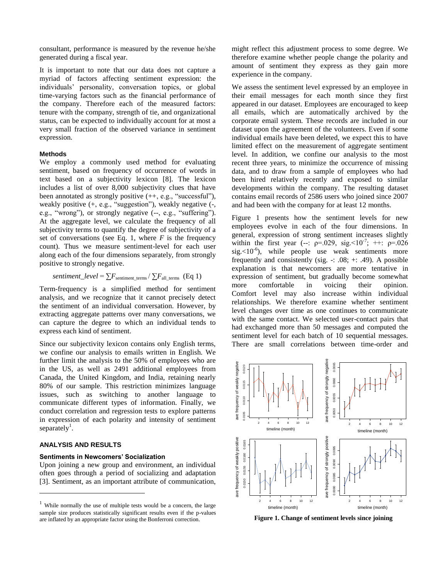consultant, performance is measured by the revenue he/she generated during a fiscal year.

It is important to note that our data does not capture a myriad of factors affecting sentiment expression: the individuals' personality, conversation topics, or global time-varying factors such as the financial performance of the company. Therefore each of the measured factors: tenure with the company, strength of tie, and organizational status, can be expected to individually account for at most a very small fraction of the observed variance in sentiment expression.

#### **Methods**

We employ a commonly used method for evaluating sentiment, based on frequency of occurrence of words in text based on a subjectivity lexicon [\[8\]](#page-3-9). The lexicon includes a list of over 8,000 subjectivity clues that have been annotated as strongly positive (++, e.g., "successful"), weakly positive (+, e.g., "suggestion"), weakly negative (-, e.g., "wrong"), or strongly negative (--, e.g., "suffering"). At the aggregate level, we calculate the frequency of all subjectivity terms to quantify the degree of subjectivity of a set of conversations (see Eq. 1, where  $F$  is the frequency count). Thus we measure sentiment-level for each user along each of the four dimensions separately, from strongly positive to strongly negative.

*sentiment* 
$$
\_level = \sum F_{\text{sentiment}\_\text{terms}} / \sum F_{\text{all}\_\text{terms}} (Eq 1)
$$

Term-frequency is a simplified method for sentiment analysis, and we recognize that it cannot precisely detect the sentiment of an individual conversation. However, by extracting aggregate patterns over many conversations, we can capture the degree to which an individual tends to express each kind of sentiment.

Since our subjectivity lexicon contains only English terms, we confine our analysis to emails written in English. We further limit the analysis to the 50% of employees who are in the US, as well as 2491 additional employees from Canada, the United Kingdom, and India, retaining nearly 80% of our sample. This restriction minimizes language issues, such as switching to another language to communicate different types of information. Finally, we conduct correlation and regression tests to explore patterns in expression of each polarity and intensity of sentiment separately<sup>1</sup>.

#### **ANALYSIS AND RESULTS**

 $\overline{\phantom{a}}$ 

## **Sentiments in Newcomers' Socialization**

Upon joining a new group and environment, an individual often goes through a period of socializing and adaptation [\[3\]](#page-3-4). Sentiment, as an important attribute of communication, might reflect this adjustment process to some degree. We therefore examine whether people change the polarity and amount of sentiment they express as they gain more experience in the company.

We assess the sentiment level expressed by an employee in their email messages for each month since they first appeared in our dataset. Employees are encouraged to keep all emails, which are automatically archived by the corporate email system. These records are included in our dataset upon the agreement of the volunteers. Even if some individual emails have been deleted, we expect this to have limited effect on the measurement of aggregate sentiment level. In addition, we confine our analysis to the most recent three years, to minimize the occurrence of missing data, and to draw from a sample of employees who had been hired relatively recently and exposed to similar developments within the company. The resulting dataset contains email records of 2586 users who joined since 2007 and had been with the company for at least 12 months.

Figure 1 presents how the sentiment levels for new employees evolve in each of the four dimensions. In general, expression of strong sentiment increases slightly within the first year (--:  $p=0.029$ , sig. <10<sup>-7</sup>; ++:  $p=0.026$  $sig.<10^{-6}$ ), while people use weak sentiments more frequently and consistently (sig. -: .08; +: .49). A possible explanation is that newcomers are more tentative in expression of sentiment, but gradually become somewhat more comfortable in voicing their opinion. Comfort level may also increase within individual relationships. We therefore examine whether sentiment level changes over time as one continues to communicate with the same contact. We selected user-contact pairs that had exchanged more than 50 messages and computed the sentiment level for each batch of 10 sequential messages. There are small correlations between time-order and



**Figure 1. Change of sentiment levels since joining**

While normally the use of multiple tests would be a concern, the large sample size produces statistically significant results even if the p-values are inflated by an appropriate factor using the Bonferroni correction.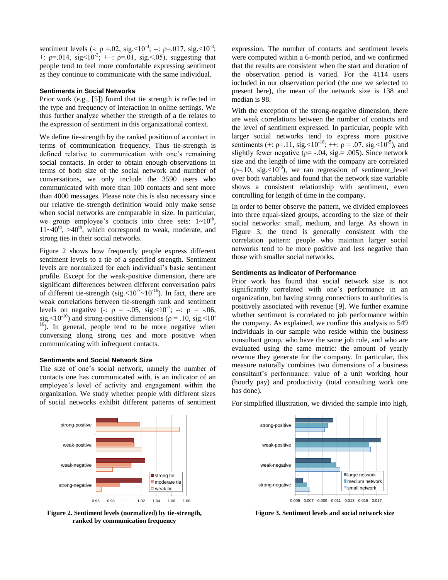sentiment levels (-:  $\rho = 0.02$ , sig. < 10<sup>-3</sup>; --:  $\rho = 0.017$ , sig. < 10<sup>-3</sup>; +:  $p=0.014$ , sig<10<sup>-2</sup>; ++:  $p=0.01$ , sig. < 0.05), suggesting that people tend to feel more comfortable expressing sentiment as they continue to communicate with the same individual.

#### **Sentiments in Social Networks**

Prior work (e.g., [\[5\]](#page-3-0)) found that tie strength is reflected in the type and frequency of interaction in online settings. We thus further analyze whether the strength of a tie relates to the expression of sentiment in this organizational context.

We define tie-strength by the ranked position of a contact in terms of communication frequency. Thus tie-strength is defined relative to communication with one's remaining social contacts. In order to obtain enough observations in terms of both size of the social network and number of conversations, we only include the 3590 users who communicated with more than 100 contacts and sent more than 4000 messages. Please note this is also necessary since our relative tie-strength definition would only make sense when social networks are comparable in size. In particular, we group employee's contacts into three sets:  $1 \sim 10^{th}$ ,  $11-40^{\text{th}}$ ,  $>40^{\text{th}}$ , which correspond to weak, moderate, and strong ties in their social networks.

Figure 2 shows how frequently people express different sentiment levels to a tie of a specified strength. Sentiment levels are normalized for each individual's basic sentiment profile. Except for the weak-positive dimension, there are significant differences between different conversation pairs of different tie-strength (sig. < $10^{-7}$   $\sim$   $10^{-16}$ ). In fact, there are weak correlations between tie-strength rank and sentiment levels on negative (-:  $\rho = -.05$ , sig. <10<sup>-7</sup>; --:  $\rho = -.06$ , sig. <10<sup>-10</sup>) and strong-positive dimensions ( $\rho = .10$ , sig. <10<sup>-10</sup>)  $16$ ). In general, people tend to be more negative when conversing along strong ties and more positive when communicating with infrequent contacts.

## **Sentiments and Social Network Size**

The size of one's social network, namely the number of contacts one has communicated with, is an indicator of an employee's level of activity and engagement within the organization. We study whether people with different sizes of social networks exhibit different patterns of sentiment



**Figure 2. Sentiment levels (normalized) by tie-strength, ranked by communication frequency**

expression. The number of contacts and sentiment levels were computed within a 6-month period, and we confirmed that the results are consistent when the start and duration of the observation period is varied. For the 4114 users included in our observation period (the one we selected to present here), the mean of the network size is 138 and median is 98.

With the exception of the strong-negative dimension, there are weak correlations between the number of contacts and the level of sentiment expressed. In particular, people with larger social networks tend to express more positive sentiments (+:  $p=11$ , sig.<10<sup>-10</sup>; ++:  $p=0.07$ , sig. <10<sup>-5</sup>), and slightly fewer negative ( $\rho$ = -.04, sig. = .005). Since network size and the length of time with the company are correlated  $(p=10, sig. < 10^{-8})$ , we ran regression of sentiment\_level over both variables and found that the network size variable shows a consistent relationship with sentiment, even controlling for length of time in the company.

In order to better observe the pattern, we divided employees into three equal-sized groups, according to the size of their social networks: small, medium, and large. As shown in Figure 3, the trend is generally consistent with the correlation pattern: people who maintain larger social networks tend to be more positive and less negative than those with smaller social networks.

#### **Sentiments as Indicator of Performance**

Prior work has found that social network size is not significantly correlated with one's performance in an organization, but having strong connections to authorities is positively associated with revenue [\[9\]](#page-3-8). We further examine whether sentiment is correlated to job performance within the company. As explained, we confine this analysis to 549 individuals in our sample who reside within the business consultant group, who have the same job role, and who are evaluated using the same metric: the amount of yearly revenue they generate for the company. In particular, this measure naturally combines two dimensions of a business consultant's performance: value of a unit working hour (hourly pay) and productivity (total consulting work one has done).

For simplified illustration, we divided the sample into high,



**Figure 3. Sentiment levels and social network size**